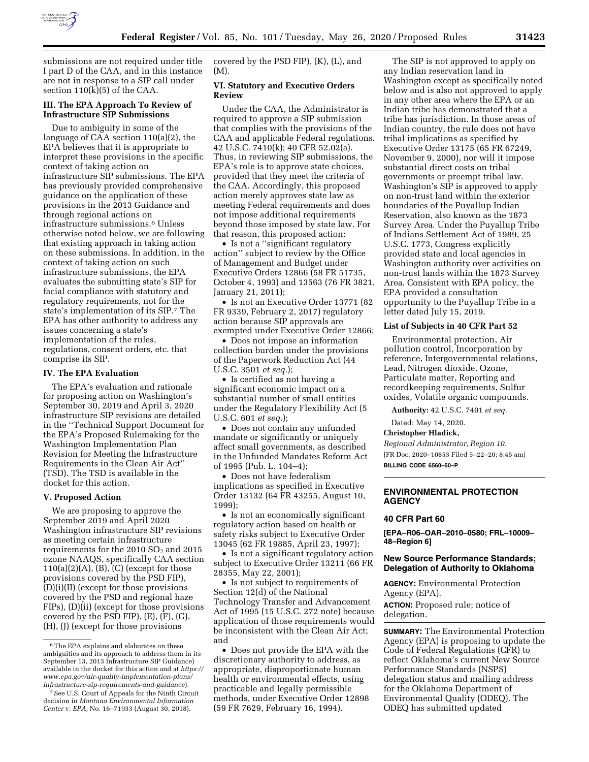

submissions are not required under title I part D of the CAA, and in this instance are not in response to a SIP call under section 110(k)(5) of the CAA.

## **III. The EPA Approach To Review of Infrastructure SIP Submissions**

Due to ambiguity in some of the language of CAA section 110(a)(2), the EPA believes that it is appropriate to interpret these provisions in the specific context of taking action on infrastructure SIP submissions. The EPA has previously provided comprehensive guidance on the application of these provisions in the 2013 Guidance and through regional actions on infrastructure submissions.6 Unless otherwise noted below, we are following that existing approach in taking action on these submissions. In addition, in the context of taking action on such infrastructure submissions, the EPA evaluates the submitting state's SIP for facial compliance with statutory and regulatory requirements, not for the state's implementation of its SIP.7 The EPA has other authority to address any issues concerning a state's implementation of the rules, regulations, consent orders, etc. that comprise its SIP.

#### **IV. The EPA Evaluation**

The EPA's evaluation and rationale for proposing action on Washington's September 30, 2019 and April 3, 2020 infrastructure SIP revisions are detailed in the ''Technical Support Document for the EPA's Proposed Rulemaking for the Washington Implementation Plan Revision for Meeting the Infrastructure Requirements in the Clean Air Act'' (TSD). The TSD is available in the docket for this action.

#### **V. Proposed Action**

We are proposing to approve the September 2019 and April 2020 Washington infrastructure SIP revisions as meeting certain infrastructure requirements for the 2010 SO<sub>2</sub> and 2015 ozone NAAQS, specifically CAA section  $110(a)(2)(A)$ ,  $(B)$ ,  $(C)$  (except for those provisions covered by the PSD FIP), (D)(i)(II) (except for those provisions covered by the PSD and regional haze FIPs), (D)(ii) (except for those provisions covered by the PSD FIP), (E), (F), (G), (H), (J) (except for those provisions

covered by the PSD FIP), (K), (L), and (M).

## **VI. Statutory and Executive Orders Review**

Under the CAA, the Administrator is required to approve a SIP submission that complies with the provisions of the CAA and applicable Federal regulations. 42 U.S.C. 7410(k); 40 CFR 52.02(a). Thus, in reviewing SIP submissions, the EPA's role is to approve state choices, provided that they meet the criteria of the CAA. Accordingly, this proposed action merely approves state law as meeting Federal requirements and does not impose additional requirements beyond those imposed by state law. For that reason, this proposed action:

• Is not a ''significant regulatory action'' subject to review by the Office of Management and Budget under Executive Orders 12866 (58 FR 51735, October 4, 1993) and 13563 (76 FR 3821, January 21, 2011);

• Is not an Executive Order 13771 (82 FR 9339, February 2, 2017) regulatory action because SIP approvals are exempted under Executive Order 12866;

• Does not impose an information collection burden under the provisions of the Paperwork Reduction Act (44 U.S.C. 3501 *et seq.*);

• Is certified as not having a significant economic impact on a substantial number of small entities under the Regulatory Flexibility Act (5 U.S.C. 601 *et seq.*);

• Does not contain any unfunded mandate or significantly or uniquely affect small governments, as described in the Unfunded Mandates Reform Act of 1995 (Pub. L. 104–4);

• Does not have federalism implications as specified in Executive Order 13132 (64 FR 43255, August 10, 1999);

• Is not an economically significant regulatory action based on health or safety risks subject to Executive Order 13045 (62 FR 19885, April 23, 1997);

• Is not a significant regulatory action subject to Executive Order 13211 (66 FR 28355, May 22, 2001);

• Is not subject to requirements of Section 12(d) of the National Technology Transfer and Advancement Act of 1995 (15 U.S.C. 272 note) because application of those requirements would be inconsistent with the Clean Air Act; and

• Does not provide the EPA with the discretionary authority to address, as appropriate, disproportionate human health or environmental effects, using practicable and legally permissible methods, under Executive Order 12898 (59 FR 7629, February 16, 1994).

The SIP is not approved to apply on any Indian reservation land in Washington except as specifically noted below and is also not approved to apply in any other area where the EPA or an Indian tribe has demonstrated that a tribe has jurisdiction. In those areas of Indian country, the rule does not have tribal implications as specified by Executive Order 13175 (65 FR 67249, November 9, 2000), nor will it impose substantial direct costs on tribal governments or preempt tribal law. Washington's SIP is approved to apply on non-trust land within the exterior boundaries of the Puyallup Indian Reservation, also known as the 1873 Survey Area. Under the Puyallup Tribe of Indians Settlement Act of 1989, 25 U.S.C. 1773, Congress explicitly provided state and local agencies in Washington authority over activities on non-trust lands within the 1873 Survey Area. Consistent with EPA policy, the EPA provided a consultation opportunity to the Puyallup Tribe in a letter dated July 15, 2019.

### **List of Subjects in 40 CFR Part 52**

Environmental protection, Air pollution control, Incorporation by reference, Intergovernmental relations, Lead, Nitrogen dioxide, Ozone, Particulate matter, Reporting and recordkeeping requirements, Sulfur oxides, Volatile organic compounds.

**Authority:** 42 U.S.C. 7401 *et seq.* 

Dated: May 14, 2020.

#### **Christopher Hladick,**

*Regional Administrator, Region 10.*  [FR Doc. 2020–10853 Filed 5–22–20; 8:45 am] **BILLING CODE 6560–50–P** 

## **ENVIRONMENTAL PROTECTION AGENCY**

### **40 CFR Part 60**

**[EPA–R06–OAR–2010–0580; FRL–10009– 48–Region 6]** 

## **New Source Performance Standards; Delegation of Authority to Oklahoma**

**AGENCY:** Environmental Protection Agency (EPA).

**ACTION:** Proposed rule; notice of delegation.

**SUMMARY:** The Environmental Protection Agency (EPA) is proposing to update the Code of Federal Regulations (CFR) to reflect Oklahoma's current New Source Performance Standards (NSPS) delegation status and mailing address for the Oklahoma Department of Environmental Quality (ODEQ). The ODEQ has submitted updated

<sup>6</sup>The EPA explains and elaborates on these ambiguities and its approach to address them in its September 13, 2013 Infrastructure SIP Guidance) available in the docket for this action and at *[https://](https://www.epa.gov/air-quality-implementation-plans/infrastructure-sip-requirements-and-guidance)  [www.epa.gov/air-quality-implementation-plans/](https://www.epa.gov/air-quality-implementation-plans/infrastructure-sip-requirements-and-guidance) [infrastructure-sip-requirements-and-guidance](https://www.epa.gov/air-quality-implementation-plans/infrastructure-sip-requirements-and-guidance)*).

<sup>7</sup>See U.S. Court of Appeals for the Ninth Circuit decision in *Montana Environmental Information Center* v. *EPA,* No. 16–71933 (August 30, 2018).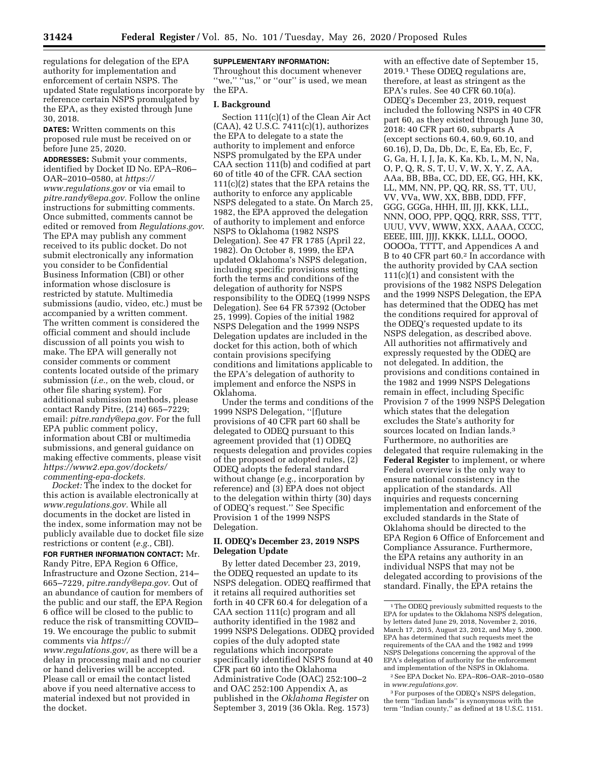regulations for delegation of the EPA authority for implementation and enforcement of certain NSPS. The updated State regulations incorporate by reference certain NSPS promulgated by the EPA, as they existed through June 30, 2018.

**DATES:** Written comments on this proposed rule must be received on or before June 25, 2020.

**ADDRESSES:** Submit your comments, identified by Docket ID No. EPA–R06– OAR–2010–0580, at *[https://](https://www.regulations.gov) [www.regulations.gov](https://www.regulations.gov)* or via email to *[pitre.randy@epa.gov.](mailto:pitre.randy@epa.gov)* Follow the online instructions for submitting comments. Once submitted, comments cannot be edited or removed from *Regulations.gov*. The EPA may publish any comment received to its public docket. Do not submit electronically any information you consider to be Confidential Business Information (CBI) or other information whose disclosure is restricted by statute. Multimedia submissions (audio, video, etc.) must be accompanied by a written comment. The written comment is considered the official comment and should include discussion of all points you wish to make. The EPA will generally not consider comments or comment contents located outside of the primary submission (*i.e.,* on the web, cloud, or other file sharing system). For additional submission methods, please contact Randy Pitre, (214) 665–7229; email: *[pitre.randy@epa.gov.](mailto:pitre.randy@epa.gov)* For the full EPA public comment policy, information about CBI or multimedia submissions, and general guidance on making effective comments, please visit *[https://www2.epa.gov/dockets/](https://www2.epa.gov/dockets/commenting-epa-dockets)  [commenting-epa-dockets.](https://www2.epa.gov/dockets/commenting-epa-dockets)* 

*Docket:* The index to the docket for this action is available electronically at *[www.regulations.gov.](http://www.regulations.gov)* While all documents in the docket are listed in the index, some information may not be publicly available due to docket file size restrictions or content (*e.g.,* CBI).

**FOR FURTHER INFORMATION CONTACT:** Mr. Randy Pitre, EPA Region 6 Office, Infrastructure and Ozone Section, 214– 665–7229, *[pitre.randy@epa.gov.](mailto:pitre.randy@epa.gov)* Out of an abundance of caution for members of the public and our staff, the EPA Region 6 office will be closed to the public to reduce the risk of transmitting COVID– 19. We encourage the public to submit comments via *[https://](https://www.regulations.gov)*

*[www.regulations.gov,](https://www.regulations.gov)* as there will be a delay in processing mail and no courier or hand deliveries will be accepted. Please call or email the contact listed above if you need alternative access to material indexed but not provided in the docket.

## **SUPPLEMENTARY INFORMATION:**

Throughout this document whenever "we," "us," or "our" is used, we mean the EPA.

#### **I. Background**

Section 111(c)(1) of the Clean Air Act (CAA), 42 U.S.C. 7411(c)(1), authorizes the EPA to delegate to a state the authority to implement and enforce NSPS promulgated by the EPA under CAA section 111(b) and codified at part 60 of title 40 of the CFR. CAA section 111(c)(2) states that the EPA retains the authority to enforce any applicable NSPS delegated to a state. On March 25, 1982, the EPA approved the delegation of authority to implement and enforce NSPS to Oklahoma (1982 NSPS Delegation). See 47 FR 1785 (April 22, 1982). On October 8, 1999, the EPA updated Oklahoma's NSPS delegation, including specific provisions setting forth the terms and conditions of the delegation of authority for NSPS responsibility to the ODEQ (1999 NSPS Delegation). See 64 FR 57392 (October 25, 1999). Copies of the initial 1982 NSPS Delegation and the 1999 NSPS Delegation updates are included in the docket for this action, both of which contain provisions specifying conditions and limitations applicable to the EPA's delegation of authority to implement and enforce the NSPS in Oklahoma.

Under the terms and conditions of the 1999 NSPS Delegation, ''[f]uture provisions of 40 CFR part 60 shall be delegated to ODEQ pursuant to this agreement provided that (1) ODEQ requests delegation and provides copies of the proposed or adopted rules, (2) ODEQ adopts the federal standard without change (*e.g.,* incorporation by reference) and (3) EPA does not object to the delegation within thirty (30) days of ODEQ's request.'' See Specific Provision 1 of the 1999 NSPS Delegation.

### **II. ODEQ's December 23, 2019 NSPS Delegation Update**

By letter dated December 23, 2019, the ODEQ requested an update to its NSPS delegation. ODEQ reaffirmed that it retains all required authorities set forth in 40 CFR 60.4 for delegation of a CAA section 111(c) program and all authority identified in the 1982 and 1999 NSPS Delegations. ODEQ provided copies of the duly adopted state regulations which incorporate specifically identified NSPS found at 40 CFR part 60 into the Oklahoma Administrative Code (OAC) 252:100–2 and OAC 252:100 Appendix A, as published in the *Oklahoma Register* on September 3, 2019 (36 Okla. Reg. 1573)

with an effective date of September 15, 2019.1 These ODEQ regulations are, therefore, at least as stringent as the EPA's rules. See 40 CFR 60.10(a). ODEQ's December 23, 2019, request included the following NSPS in 40 CFR part 60, as they existed through June 30, 2018: 40 CFR part 60, subparts A (except sections 60.4, 60.9, 60.10, and 60.16), D, Da, Db, Dc, E, Ea, Eb, Ec, F, G, Ga, H, I, J, Ja, K, Ka, Kb, L, M, N, Na, O, P, Q, R, S, T, U, V, W, X, Y, Z, AA, AAa, BB, BBa, CC, DD, EE, GG, HH, KK, LL, MM, NN, PP, QQ, RR, SS, TT, UU, VV, VVa, WW, XX, BBB, DDD, FFF, GGG, GGGa, HHH, III, JJJ, KKK, LLL, NNN, OOO, PPP, QQQ, RRR, SSS, TTT, UUU, VVV, WWW, XXX, AAAA, CCCC, EEEE, IIII, JJJJ, KKKK, LLLL, OOOO, OOOOa, TTTT, and Appendices A and B to 40 CFR part 60.2 In accordance with the authority provided by CAA section 111(c)(1) and consistent with the provisions of the 1982 NSPS Delegation and the 1999 NSPS Delegation, the EPA has determined that the ODEQ has met the conditions required for approval of the ODEQ's requested update to its NSPS delegation, as described above. All authorities not affirmatively and expressly requested by the ODEQ are not delegated. In addition, the provisions and conditions contained in the 1982 and 1999 NSPS Delegations remain in effect, including Specific Provision 7 of the 1999 NSPS Delegation which states that the delegation excludes the State's authority for sources located on Indian lands.3 Furthermore, no authorities are delegated that require rulemaking in the **Federal Register** to implement, or where Federal overview is the only way to ensure national consistency in the application of the standards. All inquiries and requests concerning implementation and enforcement of the excluded standards in the State of Oklahoma should be directed to the EPA Region 6 Office of Enforcement and Compliance Assurance. Furthermore, the EPA retains any authority in an individual NSPS that may not be delegated according to provisions of the standard. Finally, the EPA retains the

<sup>&</sup>lt;sup>1</sup>The ODEQ previously submitted requests to the EPA for updates to the Oklahoma NSPS delegation, by letters dated June 29, 2018, November 2, 2016, March 17, 2015, August 23, 2012, and May 5, 2000. EPA has determined that such requests meet the requirements of the CAA and the 1982 and 1999 NSPS Delegations concerning the approval of the EPA's delegation of authority for the enforcement and implementation of the NSPS in Oklahoma. 2See EPA Docket No. EPA–R06–OAR–2010–0580

in *[www.regulations.gov.](http://www.regulations.gov)*  3For purposes of the ODEQ's NSPS delegation, the term ''Indian lands'' is synonymous with the term ''Indian county,'' as defined at 18 U.S.C. 1151.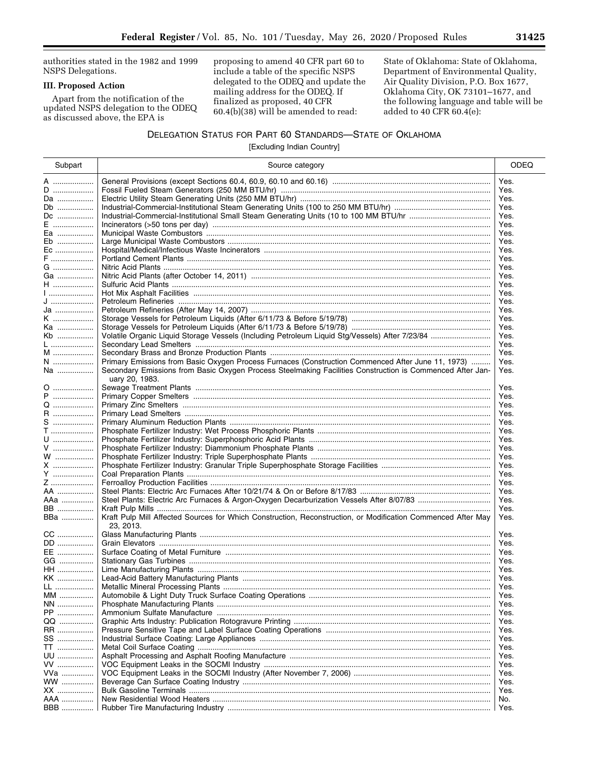authorities stated in the 1982 and 1999 NSPS Delegations.

## **III. Proposed Action**

Apart from the notification of the updated NSPS delegation to the ODEQ as discussed above, the EPA is

proposing to amend 40 CFR part 60 to include a table of the specific NSPS delegated to the ODEQ and update the mailing address for the ODEQ. If finalized as proposed, 40 CFR 60.4(b)(38) will be amended to read:

State of Oklahoma: State of Oklahoma, Department of Environmental Quality, Air Quality Division, P.O. Box 1677, Oklahoma City, OK 73101–1677, and the following language and table will be added to 40 CFR 60.4(e):

## DELEGATION STATUS FOR PART 60 STANDARDS—STATE OF OKLAHOMA

[Excluding Indian Country]

| Subpart              | Source category                                                                                                           | <b>ODEQ</b>  |
|----------------------|---------------------------------------------------------------------------------------------------------------------------|--------------|
| A …………………            |                                                                                                                           | Yes.         |
| $D$                  |                                                                                                                           | Yes.         |
| Da                   |                                                                                                                           | Yes.         |
| Db                   |                                                                                                                           | Yes.         |
| Dc                   |                                                                                                                           | Yes.         |
| E                    |                                                                                                                           | Yes.         |
| Ea                   |                                                                                                                           | Yes.         |
| Eb                   |                                                                                                                           | Yes.         |
| Ec                   |                                                                                                                           | Yes.         |
| F                    |                                                                                                                           | Yes.         |
| G                    |                                                                                                                           | Yes.         |
|                      |                                                                                                                           |              |
| Ga                   |                                                                                                                           | Yes.<br>Yes. |
| H                    |                                                                                                                           | Yes.         |
| J ,,,,,,,,,,,,,,,,,, |                                                                                                                           |              |
|                      |                                                                                                                           | Yes.         |
| Ja                   |                                                                                                                           | Yes.         |
| K                    |                                                                                                                           | Yes.         |
| Ka                   |                                                                                                                           | Yes.         |
| Kb                   |                                                                                                                           | Yes.         |
| $\mathsf{L}$         |                                                                                                                           | Yes.         |
| M                    |                                                                                                                           | Yes.         |
| N                    | Primary Emissions from Basic Oxygen Process Furnaces (Construction Commenced After June 11, 1973)                         | Yes.         |
| Na                   | Secondary Emissions from Basic Oxygen Process Steelmaking Facilities Construction is Commenced After Jan-                 | Yes.         |
|                      | uary 20, 1983.                                                                                                            |              |
| 0                    |                                                                                                                           | Yes.         |
| P                    |                                                                                                                           | Yes.         |
| Q                    |                                                                                                                           | Yes.         |
| R.                   |                                                                                                                           | Yes.         |
| S                    |                                                                                                                           | Yes.         |
| $T$                  |                                                                                                                           | Yes.         |
| U                    |                                                                                                                           | Yes.         |
| V                    |                                                                                                                           | Yes.         |
| W                    |                                                                                                                           | Yes.         |
| X                    |                                                                                                                           | Yes.         |
| Y                    |                                                                                                                           | Yes.         |
| Z                    |                                                                                                                           | Yes.         |
| AA ………………            |                                                                                                                           | Yes.         |
| AAa                  |                                                                                                                           | Yes.         |
| BB                   |                                                                                                                           | Yes.         |
| BBa                  | Kraft Pulp Mill Affected Sources for Which Construction, Reconstruction, or Modification Commenced After May<br>23, 2013. | Yes.         |
| CC                   |                                                                                                                           | Yes.         |
| DD                   |                                                                                                                           | Yes.         |
| EE                   |                                                                                                                           | Yes.         |
| GG                   |                                                                                                                           | Yes.         |
| <b>HH</b>            |                                                                                                                           | Yes.         |
| KK                   |                                                                                                                           | Yes.         |
| LL                   |                                                                                                                           | Yes.         |
| MM                   |                                                                                                                           | Yes.         |
| NN                   |                                                                                                                           | Yes.         |
| PP                   |                                                                                                                           | Yes.         |
|                      |                                                                                                                           |              |
| QQ                   |                                                                                                                           | Yes.         |
| RR                   |                                                                                                                           | Yes.         |
| SS                   |                                                                                                                           | Yes.         |
| TT                   |                                                                                                                           | Yes.         |
| UU                   |                                                                                                                           | Yes.         |
| VV                   |                                                                                                                           | Yes.         |
| VVa                  |                                                                                                                           | Yes.         |
| ww                   |                                                                                                                           | Yes.         |
| XX                   |                                                                                                                           | Yes.         |
| AAA                  |                                                                                                                           | No.          |
| <b>BBB</b>           |                                                                                                                           | Yes.         |
|                      |                                                                                                                           |              |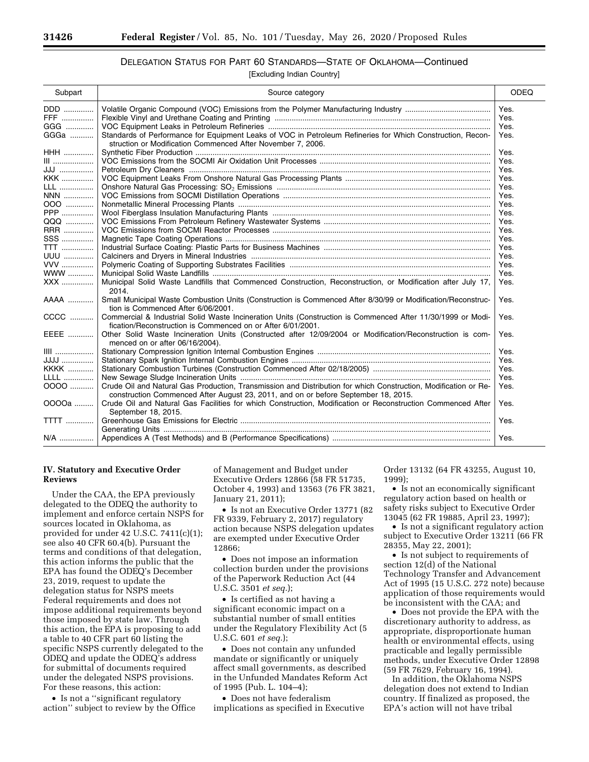# DELEGATION STATUS FOR PART 60 STANDARDS—STATE OF OKLAHOMA—Continued

[Excluding Indian Country]

| Subpart     | Source category                                                                                                                                                                                       | <b>ODEQ</b> |
|-------------|-------------------------------------------------------------------------------------------------------------------------------------------------------------------------------------------------------|-------------|
| DDD         |                                                                                                                                                                                                       | Yes.        |
| FFF         |                                                                                                                                                                                                       | Yes.        |
| GGG         |                                                                                                                                                                                                       | Yes.        |
| GGGa        | Standards of Performance for Equipment Leaks of VOC in Petroleum Refineries for Which Construction, Recon-<br>struction or Modification Commenced After November 7, 2006.                             | Yes.        |
| <b>HHH</b>  |                                                                                                                                                                                                       | Yes.        |
| III         |                                                                                                                                                                                                       | Yes.        |
| JJJ         |                                                                                                                                                                                                       | Yes.        |
| <b>KKK</b>  |                                                                                                                                                                                                       | Yes.        |
| LLL         |                                                                                                                                                                                                       | Yes.        |
| NNN         |                                                                                                                                                                                                       | Yes.        |
| 000         |                                                                                                                                                                                                       | Yes.        |
| <b>PPP</b>  |                                                                                                                                                                                                       | Yes.        |
| QQQ         |                                                                                                                                                                                                       | Yes.        |
| RRR         |                                                                                                                                                                                                       | Yes.        |
| $SSS$       |                                                                                                                                                                                                       | Yes.        |
| <b>TTT</b>  |                                                                                                                                                                                                       | Yes.        |
| <b>UUU</b>  |                                                                                                                                                                                                       | Yes.        |
| <b>VVV</b>  |                                                                                                                                                                                                       | Yes.        |
| <b>WWW</b>  |                                                                                                                                                                                                       | Yes.        |
| XXX         | Municipal Solid Waste Landfills that Commenced Construction, Reconstruction, or Modification after July 17,<br>2014.                                                                                  | Yes.        |
| AAAA        | Small Municipal Waste Combustion Units (Construction is Commenced After 8/30/99 or Modification/Reconstruc-<br>tion is Commenced After 6/06/2001.                                                     | Yes.        |
| $CCC$       | Commercial & Industrial Solid Waste Incineration Units (Construction is Commenced After 11/30/1999 or Modi-<br>fication/Reconstruction is Commenced on or After 6/01/2001.                            | Yes.        |
| EEEE        | Other Solid Waste Incineration Units (Constructed after 12/09/2004 or Modification/Reconstruction is com-<br>menced on or after 06/16/2004).                                                          | Yes.        |
| $III$       |                                                                                                                                                                                                       | Yes.        |
| <b>JJJJ</b> |                                                                                                                                                                                                       | Yes.        |
| <b>KKKK</b> |                                                                                                                                                                                                       | Yes.        |
| LLLL        |                                                                                                                                                                                                       | Yes.        |
| 0000        | Crude Oil and Natural Gas Production, Transmission and Distribution for which Construction, Modification or Re-<br>construction Commenced After August 23, 2011, and on or before September 18, 2015. | Yes.        |
| 0000a       | Crude Oil and Natural Gas Facilities for which Construction, Modification or Reconstruction Commenced After<br>September 18, 2015.                                                                    | Yes.        |
| <b>TTTT</b> |                                                                                                                                                                                                       | Yes.        |
| N/A         |                                                                                                                                                                                                       | Yes.        |

## **IV. Statutory and Executive Order Reviews**

Under the CAA, the EPA previously delegated to the ODEQ the authority to implement and enforce certain NSPS for sources located in Oklahoma, as provided for under 42 U.S.C. 7411(c)(1); see also 40 CFR 60.4(b). Pursuant the terms and conditions of that delegation, this action informs the public that the EPA has found the ODEQ's December 23, 2019, request to update the delegation status for NSPS meets Federal requirements and does not impose additional requirements beyond those imposed by state law. Through this action, the EPA is proposing to add a table to 40 CFR part 60 listing the specific NSPS currently delegated to the ODEQ and update the ODEQ's address for submittal of documents required under the delegated NSPS provisions. For these reasons, this action:

• Is not a "significant regulatory action'' subject to review by the Office

of Management and Budget under Executive Orders 12866 (58 FR 51735, October 4, 1993) and 13563 (76 FR 3821, January 21, 2011);

• Is not an Executive Order 13771 (82) FR 9339, February 2, 2017) regulatory action because NSPS delegation updates are exempted under Executive Order 12866;

• Does not impose an information collection burden under the provisions of the Paperwork Reduction Act (44 U.S.C. 3501 *et seq.*);

• Is certified as not having a significant economic impact on a substantial number of small entities under the Regulatory Flexibility Act (5 U.S.C. 601 *et seq.*);

• Does not contain any unfunded mandate or significantly or uniquely affect small governments, as described in the Unfunded Mandates Reform Act of 1995 (Pub. L. 104–4);

• Does not have federalism implications as specified in Executive Order 13132 (64 FR 43255, August 10, 1999);

• Is not an economically significant regulatory action based on health or safety risks subject to Executive Order 13045 (62 FR 19885, April 23, 1997);

• Is not a significant regulatory action subject to Executive Order 13211 (66 FR 28355, May 22, 2001);

• Is not subject to requirements of section 12(d) of the National Technology Transfer and Advancement Act of 1995 (15 U.S.C. 272 note) because application of those requirements would be inconsistent with the CAA; and

• Does not provide the EPA with the discretionary authority to address, as appropriate, disproportionate human health or environmental effects, using practicable and legally permissible methods, under Executive Order 12898 (59 FR 7629, February 16, 1994).

In addition, the Oklahoma NSPS delegation does not extend to Indian country. If finalized as proposed, the EPA's action will not have tribal